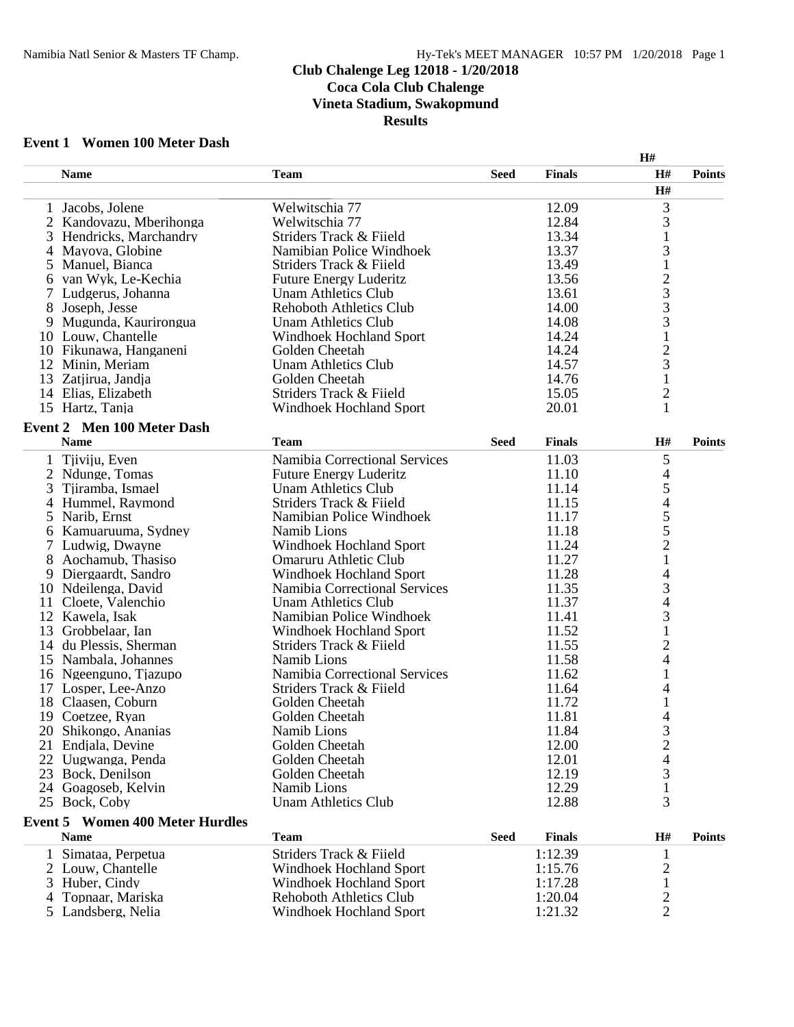### **Club Chalenge Leg 12018 - 1/20/2018 Coca Cola Club Chalenge Vineta Stadium, Swakopmund Results**

## **Event 1 Women 100 Meter Dash**

|    |                                        |                                |             |               | H#                       |               |
|----|----------------------------------------|--------------------------------|-------------|---------------|--------------------------|---------------|
|    | <b>Name</b>                            | <b>Team</b>                    | <b>Seed</b> | <b>Finals</b> | H#                       | <b>Points</b> |
|    |                                        |                                |             |               | H#                       |               |
|    | 1 Jacobs, Jolene                       | Welwitschia 77                 |             | 12.09         | 3                        |               |
|    | 2 Kandovazu, Mberihonga                | Welwitschia 77                 |             | 12.84         | 3                        |               |
| 3  | Hendricks, Marchandry                  | Striders Track & Fiield        |             | 13.34         |                          |               |
| 4  | Mayova, Globine                        | Namibian Police Windhoek       |             | 13.37         | 3                        |               |
| 5  | Manuel, Bianca                         | Striders Track & Fiield        |             | 13.49         | $\mathbf{1}$             |               |
| 6  | van Wyk, Le-Kechia                     | <b>Future Energy Luderitz</b>  |             | 13.56         |                          |               |
|    | Ludgerus, Johanna                      | <b>Unam Athletics Club</b>     |             | 13.61         | $\frac{2}{3}$            |               |
| 8  | Joseph, Jesse                          | <b>Rehoboth Athletics Club</b> |             | 14.00         | 3                        |               |
| 9  | Mugunda, Kaurirongua                   | <b>Unam Athletics Club</b>     |             | 14.08         | 3                        |               |
|    | 10 Louw, Chantelle                     | Windhoek Hochland Sport        |             | 14.24         | $\mathbf 1$              |               |
|    | 10 Fikunawa, Hanganeni                 | Golden Cheetah                 |             | 14.24         | $\overline{c}$           |               |
|    | 12 Minin, Meriam                       | Unam Athletics Club            |             | 14.57         | 3                        |               |
|    | 13 Zatjirua, Jandja                    | Golden Cheetah                 |             | 14.76         | $\mathbf{1}$             |               |
|    | 14 Elias, Elizabeth                    | Striders Track & Fiield        |             | 15.05         | $\overline{c}$           |               |
|    | 15 Hartz, Tanja                        | Windhoek Hochland Sport        |             | 20.01         | 1                        |               |
|    | <b>Event 2 Men 100 Meter Dash</b>      |                                |             |               |                          |               |
|    | <b>Name</b>                            | <b>Team</b>                    | <b>Seed</b> | <b>Finals</b> | H#                       | <b>Points</b> |
| 1  | Tjiviju, Even                          | Namibia Correctional Services  |             | 11.03         | $\mathfrak{S}$           |               |
| 2  | Ndunge, Tomas                          | <b>Future Energy Luderitz</b>  |             | 11.10         | 4                        |               |
| 3  | Tjiramba, Ismael                       | <b>Unam Athletics Club</b>     |             | 11.14         | 5                        |               |
|    | 4 Hummel, Raymond                      | Striders Track & Fiield        |             | 11.15         | $\overline{\mathcal{L}}$ |               |
| 5  | Narib, Ernst                           | Namibian Police Windhoek       |             | 11.17         |                          |               |
| 6  | Kamuaruuma, Sydney                     | Namib Lions                    |             | 11.18         | $\frac{5}{5}$            |               |
| 7  | Ludwig, Dwayne                         | <b>Windhoek Hochland Sport</b> |             | 11.24         | $\overline{c}$           |               |
|    | Aochamub, Thasiso                      | Omaruru Athletic Club          |             | 11.27         | $\mathbf{1}$             |               |
| 9  | Diergaardt, Sandro                     | Windhoek Hochland Sport        |             | 11.28         | 4                        |               |
|    | 10 Ndeilenga, David                    | Namibia Correctional Services  |             | 11.35         | 3                        |               |
|    | 11 Cloete, Valenchio                   | <b>Unam Athletics Club</b>     |             | 11.37         | $\overline{\mathcal{L}}$ |               |
|    | 12 Kawela, Isak                        | Namibian Police Windhoek       |             | 11.41         | 3                        |               |
| 13 | Grobbelaar, Ian                        | Windhoek Hochland Sport        |             | 11.52         | $\mathbf{1}$             |               |
|    | 14 du Plessis, Sherman                 | Striders Track & Fiield        |             | 11.55         | $\overline{c}$           |               |
|    | 15 Nambala, Johannes                   | Namib Lions                    |             | 11.58         | 4                        |               |
|    | 16 Ngeenguno, Tjazupo                  | Namibia Correctional Services  |             | 11.62         |                          |               |
|    | 17 Losper, Lee-Anzo                    | Striders Track & Fiield        |             | 11.64         | 4                        |               |
|    | 18 Claasen, Coburn                     | Golden Cheetah                 |             | 11.72         |                          |               |
|    | 19 Coetzee, Ryan                       | Golden Cheetah                 |             | 11.81         | 4                        |               |
|    | 20 Shikongo, Ananias                   | Namib Lions                    |             | 11.84         | 3                        |               |
|    | 21 Endjala, Devine                     | Golden Cheetah                 |             | 12.00         | $\overline{c}$           |               |
|    | 22 Uugwanga, Penda                     | Golden Cheetah                 |             | 12.01         |                          |               |
|    | 23 Bock, Denilson                      | Golden Cheetah                 |             | 12.19         |                          |               |
|    | 24 Goagoseb, Kelvin                    | Namib Lions                    |             | 12.29         | 3<br>1                   |               |
|    | 25 Bock, Coby                          | <b>Unam Athletics Club</b>     |             | 12.88         | 3                        |               |
|    |                                        |                                |             |               |                          |               |
|    | <b>Event 5 Women 400 Meter Hurdles</b> |                                |             |               |                          |               |
|    | <b>Name</b>                            | <b>Team</b>                    | <b>Seed</b> | <b>Finals</b> | H#                       | <b>Points</b> |
| 1  | Simataa, Perpetua                      | Striders Track & Fiield        |             | 1:12.39       | 1                        |               |
|    | 2 Louw, Chantelle                      | Windhoek Hochland Sport        |             | 1:15.76       | $\overline{c}$           |               |
| 3  | Huber, Cindy                           | <b>Windhoek Hochland Sport</b> |             | 1:17.28       | $\mathbf{1}$             |               |
| 4  | Topnaar, Mariska                       | <b>Rehoboth Athletics Club</b> |             | 1:20.04       | $\overline{2}$           |               |

Landsberg, Nelia Windhoek Hochland Sport 1:21.32 2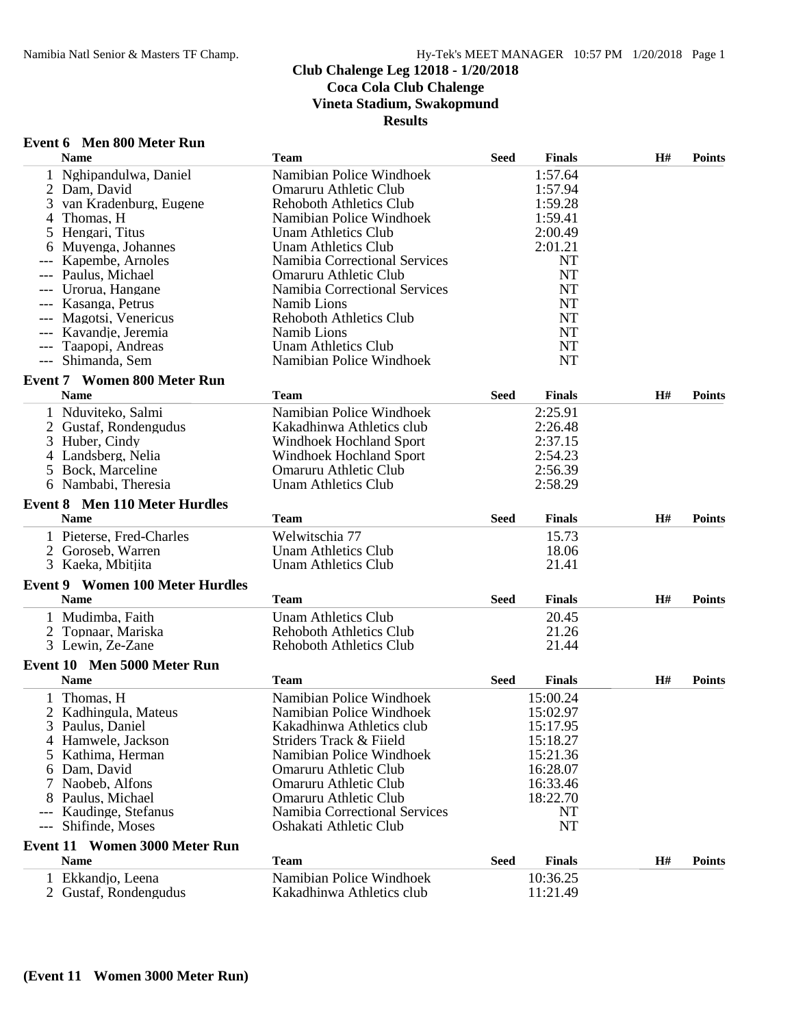## **Club Chalenge Leg 12018 - 1/20/2018 Coca Cola Club Chalenge Vineta Stadium, Swakopmund**

**Results**

#### **Event 6 Men 800 Meter Run**

|       | <b>Name</b>                                         | <b>Team</b>                          | <b>Seed</b> | <b>Finals</b> | H# | <b>Points</b> |
|-------|-----------------------------------------------------|--------------------------------------|-------------|---------------|----|---------------|
|       | Nghipandulwa, Daniel                                | Namibian Police Windhoek             |             | 1:57.64       |    |               |
| 2     | Dam, David                                          | Omaruru Athletic Club                |             | 1:57.94       |    |               |
| 3     | van Kradenburg, Eugene                              | <b>Rehoboth Athletics Club</b>       |             | 1:59.28       |    |               |
| 4     | Thomas, H                                           | Namibian Police Windhoek             |             | 1:59.41       |    |               |
| 5     | Hengari, Titus                                      | <b>Unam Athletics Club</b>           |             | 2:00.49       |    |               |
|       | Muyenga, Johannes                                   | <b>Unam Athletics Club</b>           |             | 2:01.21       |    |               |
|       | Kapembe, Arnoles                                    | <b>Namibia Correctional Services</b> |             | <b>NT</b>     |    |               |
|       | Paulus, Michael                                     | Omaruru Athletic Club                |             | <b>NT</b>     |    |               |
|       | Urorua, Hangane                                     | Namibia Correctional Services        |             | <b>NT</b>     |    |               |
|       | Kasanga, Petrus                                     | Namib Lions                          |             | <b>NT</b>     |    |               |
|       | Magotsi, Venericus                                  | <b>Rehoboth Athletics Club</b>       |             | NT            |    |               |
|       | Kavandie, Jeremia                                   | Namib Lions                          |             | <b>NT</b>     |    |               |
|       | Taapopi, Andreas                                    | <b>Unam Athletics Club</b>           |             | <b>NT</b>     |    |               |
| $---$ | Shimanda, Sem                                       | Namibian Police Windhoek             |             | <b>NT</b>     |    |               |
|       | <b>Event 7 Women 800 Meter Run</b>                  |                                      |             |               |    |               |
|       | <b>Name</b>                                         | <b>Team</b>                          | <b>Seed</b> | <b>Finals</b> | H# | <b>Points</b> |
|       | 1 Nduviteko, Salmi                                  | Namibian Police Windhoek             |             | 2:25.91       |    |               |
|       | 2 Gustaf, Rondengudus                               | Kakadhinwa Athletics club            |             | 2:26.48       |    |               |
| 3     | Huber, Cindy                                        | <b>Windhoek Hochland Sport</b>       |             | 2:37.15       |    |               |
|       | 4 Landsberg, Nelia                                  | <b>Windhoek Hochland Sport</b>       |             | 2:54.23       |    |               |
|       | 5 Bock, Marceline                                   | Omaruru Athletic Club                |             | 2:56.39       |    |               |
|       | 6 Nambabi, Theresia                                 | <b>Unam Athletics Club</b>           |             | 2:58.29       |    |               |
|       |                                                     |                                      |             |               |    |               |
|       | <b>Event 8 Men 110 Meter Hurdles</b><br><b>Name</b> | <b>Team</b>                          | <b>Seed</b> | <b>Finals</b> | H# | <b>Points</b> |
|       |                                                     |                                      |             |               |    |               |
|       | 1 Pieterse, Fred-Charles                            | Welwitschia 77                       |             | 15.73         |    |               |
| 2     | Goroseb, Warren                                     | Unam Athletics Club                  |             | 18.06         |    |               |
|       | 3 Kaeka, Mbitjita                                   | <b>Unam Athletics Club</b>           |             | 21.41         |    |               |
|       | <b>Event 9 Women 100 Meter Hurdles</b>              |                                      |             |               |    |               |
|       | <b>Name</b>                                         | <b>Team</b>                          | <b>Seed</b> | <b>Finals</b> | H# | <b>Points</b> |
|       | 1 Mudimba, Faith                                    | <b>Unam Athletics Club</b>           |             | 20.45         |    |               |
|       | 2 Topnaar, Mariska                                  | <b>Rehoboth Athletics Club</b>       |             | 21.26         |    |               |
|       | 3 Lewin, Ze-Zane                                    | <b>Rehoboth Athletics Club</b>       |             | 21.44         |    |               |
|       | Event 10 Men 5000 Meter Run                         |                                      |             |               |    |               |
|       | <b>Name</b>                                         | <b>Team</b>                          | <b>Seed</b> | <b>Finals</b> | H# | <b>Points</b> |
|       | Thomas, H                                           | Namibian Police Windhoek             |             | 15:00.24      |    |               |
|       | Kadhingula, Mateus                                  | Namibian Police Windhoek             |             | 15:02.97      |    |               |
|       | 3 Paulus, Daniel                                    | Kakadhinwa Athletics club            |             | 15:17.95      |    |               |
|       | 4 Hamwele, Jackson                                  | Striders Track & Fiield              |             | 15:18.27      |    |               |
| 5.    | Kathima, Herman                                     | Namibian Police Windhoek             |             | 15:21.36      |    |               |
|       | 6 Dam, David                                        | Omaruru Athletic Club                |             | 16:28.07      |    |               |
|       | 7 Naobeb, Alfons                                    | Omaruru Athletic Club                |             | 16:33.46      |    |               |
|       | 8 Paulus, Michael                                   | Omaruru Athletic Club                |             | 18:22.70      |    |               |
|       | Kaudinge, Stefanus                                  | <b>Namibia Correctional Services</b> |             | NT            |    |               |
| $---$ | Shifinde, Moses                                     | Oshakati Athletic Club               |             | NT            |    |               |
|       | <b>Event 11 Women 3000 Meter Run</b>                |                                      |             |               |    |               |
|       | <b>Name</b>                                         | <b>Team</b>                          | <b>Seed</b> | <b>Finals</b> | H# | <b>Points</b> |
|       | 1 Ekkandjo, Leena                                   | Namibian Police Windhoek             |             | 10:36.25      |    |               |
|       | 2 Gustaf, Rondengudus                               | Kakadhinwa Athletics club            |             | 11:21.49      |    |               |
|       |                                                     |                                      |             |               |    |               |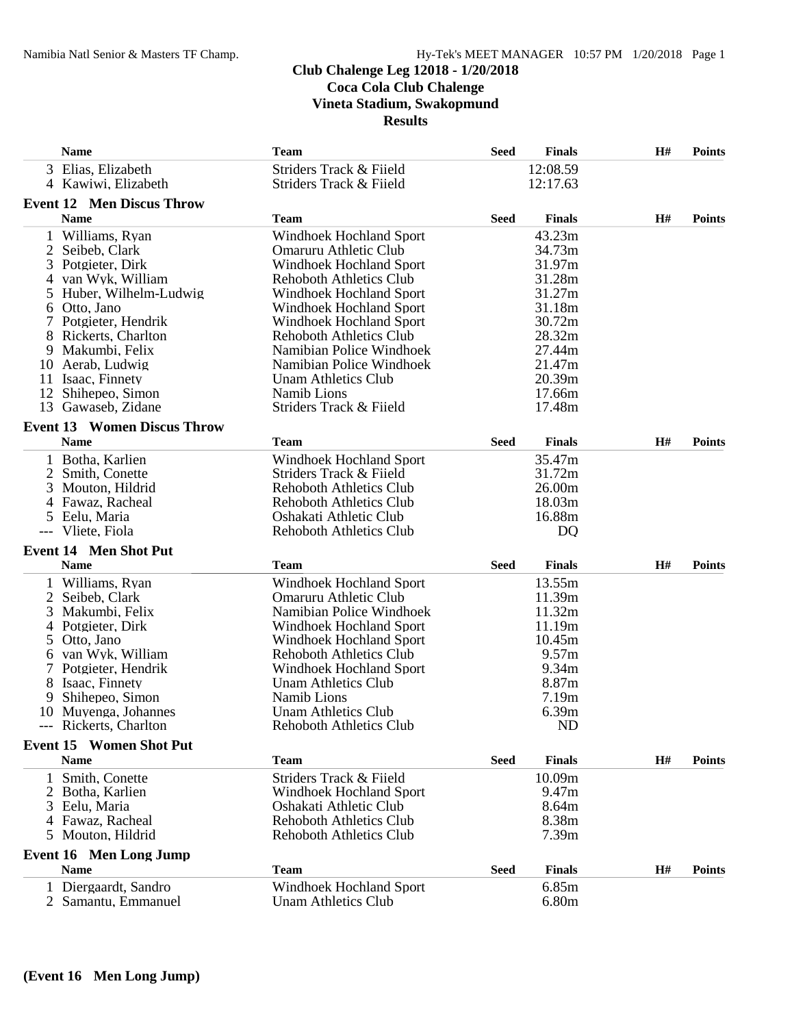# **Club Chalenge Leg 12018 - 1/20/2018**

**Coca Cola Club Chalenge**

**Vineta Stadium, Swakopmund**

**Results**

|              | <b>Name</b>                        | <b>Team</b>                    | <b>Seed</b> | <b>Finals</b>     | H# | <b>Points</b> |
|--------------|------------------------------------|--------------------------------|-------------|-------------------|----|---------------|
|              | 3 Elias, Elizabeth                 | Striders Track & Fiield        |             | 12:08.59          |    |               |
|              | 4 Kawiwi, Elizabeth                | Striders Track & Fiield        |             | 12:17.63          |    |               |
|              | <b>Event 12 Men Discus Throw</b>   |                                |             |                   |    |               |
|              | <b>Name</b>                        | <b>Team</b>                    | <b>Seed</b> | <b>Finals</b>     | H# | <b>Points</b> |
|              | 1 Williams, Ryan                   | Windhoek Hochland Sport        |             | 43.23m            |    |               |
| 2            | Seibeb, Clark                      | Omaruru Athletic Club          |             | 34.73m            |    |               |
| 3            | Potgieter, Dirk                    | <b>Windhoek Hochland Sport</b> |             | 31.97m            |    |               |
| 4            | van Wyk, William                   | <b>Rehoboth Athletics Club</b> |             | 31.28m            |    |               |
| 5.           | Huber, Wilhelm-Ludwig              | <b>Windhoek Hochland Sport</b> |             | 31.27m            |    |               |
|              | 6 Otto, Jano                       | Windhoek Hochland Sport        |             | 31.18m            |    |               |
|              | Potgieter, Hendrik                 | Windhoek Hochland Sport        |             | 30.72m            |    |               |
|              | Rickerts, Charlton                 | <b>Rehoboth Athletics Club</b> |             | 28.32m            |    |               |
| 9.           | Makumbi, Felix                     | Namibian Police Windhoek       |             | 27.44m            |    |               |
|              | 10 Aerab, Ludwig                   | Namibian Police Windhoek       |             | 21.47m            |    |               |
|              | 11 Isaac, Finnety                  | <b>Unam Athletics Club</b>     |             | 20.39m            |    |               |
|              | 12 Shihepeo, Simon                 | Namib Lions                    |             | 17.66m            |    |               |
|              | 13 Gawaseb, Zidane                 | Striders Track & Fiield        |             | 17.48m            |    |               |
|              | <b>Event 13 Women Discus Throw</b> |                                |             |                   |    |               |
|              | <b>Name</b>                        | <b>Team</b>                    | <b>Seed</b> | <b>Finals</b>     | H# | <b>Points</b> |
|              | 1 Botha, Karlien                   | <b>Windhoek Hochland Sport</b> |             | 35.47m            |    |               |
| 2            | Smith, Conette                     | Striders Track & Fiield        |             | 31.72m            |    |               |
| 3            | Mouton, Hildrid                    | <b>Rehoboth Athletics Club</b> |             | 26.00m            |    |               |
|              | 4 Fawaz, Racheal                   | <b>Rehoboth Athletics Club</b> |             | 18.03m            |    |               |
|              | 5 Eelu, Maria                      | Oshakati Athletic Club         |             | 16.88m            |    |               |
|              | Vliete, Fiola                      | <b>Rehoboth Athletics Club</b> |             | D <sub>Q</sub>    |    |               |
|              | <b>Event 14 Men Shot Put</b>       |                                |             |                   |    |               |
|              | <b>Name</b>                        | Team                           | <b>Seed</b> | <b>Finals</b>     | H# | <b>Points</b> |
|              |                                    |                                |             |                   |    |               |
|              | Williams, Ryan                     | Windhoek Hochland Sport        |             | 13.55m            |    |               |
| 2            | Seibeb, Clark                      | Omaruru Athletic Club          |             | 11.39m            |    |               |
| 3            | Makumbi, Felix                     | Namibian Police Windhoek       |             | 11.32m            |    |               |
| 4            | Potgieter, Dirk                    | Windhoek Hochland Sport        |             | 11.19m            |    |               |
| 5            | Otto, Jano                         | Windhoek Hochland Sport        |             | 10.45m<br>9.57m   |    |               |
|              | 6 van Wyk, William                 | <b>Rehoboth Athletics Club</b> |             |                   |    |               |
|              | Potgieter, Hendrik                 | Windhoek Hochland Sport        |             | 9.34m             |    |               |
|              | 8 Isaac, Finnety                   | <b>Unam Athletics Club</b>     |             | 8.87m             |    |               |
| 9            | Shihepeo, Simon                    | Namib Lions                    |             | 7.19m             |    |               |
|              | 10 Muyenga, Johannes               | <b>Unam Athletics Club</b>     |             | 6.39m             |    |               |
|              | --- Rickerts, Charlton             | Rehoboth Athletics Club        |             | <b>ND</b>         |    |               |
|              | <b>Event 15 Women Shot Put</b>     |                                |             |                   |    |               |
|              | <b>Name</b>                        | <b>Team</b>                    | <b>Seed</b> | <b>Finals</b>     | H# | <b>Points</b> |
| $\mathbf{1}$ | Smith, Conette                     | Striders Track & Fiield        |             | 10.09m            |    |               |
|              | 2 Botha, Karlien                   | <b>Windhoek Hochland Sport</b> |             | 9.47m             |    |               |
|              | 3 Eelu, Maria                      | Oshakati Athletic Club         |             | 8.64m             |    |               |
|              | 4 Fawaz, Racheal                   | <b>Rehoboth Athletics Club</b> |             | 8.38m             |    |               |
|              | 5 Mouton, Hildrid                  | <b>Rehoboth Athletics Club</b> |             | 7.39 <sub>m</sub> |    |               |
|              | <b>Event 16 Men Long Jump</b>      |                                |             |                   |    |               |
|              | <b>Name</b>                        | <b>Team</b>                    | <b>Seed</b> | <b>Finals</b>     | H# | <b>Points</b> |
|              | 1 Diergaardt, Sandro               | Windhoek Hochland Sport        |             | 6.85m             |    |               |
|              | 2 Samantu, Emmanuel                | <b>Unam Athletics Club</b>     |             | 6.80m             |    |               |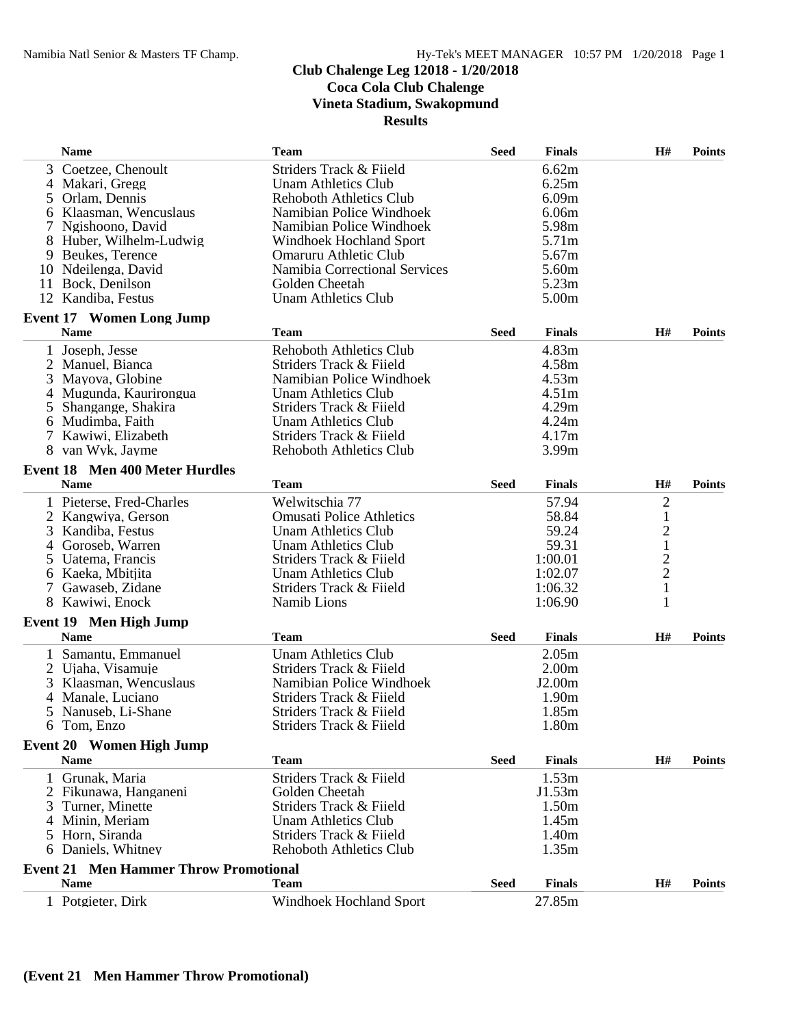# **Club Chalenge Leg 12018 - 1/20/2018**

**Coca Cola Club Chalenge**

**Vineta Stadium, Swakopmund**

**Results**

|   | <b>Name</b>                                          | <b>Team</b>                          | <b>Seed</b> | <b>Finals</b>     | H#             | <b>Points</b> |
|---|------------------------------------------------------|--------------------------------------|-------------|-------------------|----------------|---------------|
|   | 3 Coetzee, Chenoult                                  | Striders Track & Fiield              |             | 6.62m             |                |               |
|   | 4 Makari, Gregg                                      | <b>Unam Athletics Club</b>           |             | 6.25m             |                |               |
|   | 5 Orlam, Dennis                                      | <b>Rehoboth Athletics Club</b>       |             | 6.09m             |                |               |
|   | 6 Klaasman, Wencuslaus                               | Namibian Police Windhoek             |             | 6.06m             |                |               |
|   | Ngishoono, David                                     | Namibian Police Windhoek             |             | 5.98m             |                |               |
|   | 8 Huber, Wilhelm-Ludwig                              | Windhoek Hochland Sport              |             | 5.71m             |                |               |
|   | 9 Beukes, Terence                                    | Omaruru Athletic Club                |             | 5.67m             |                |               |
|   | 10 Ndeilenga, David                                  | <b>Namibia Correctional Services</b> |             | 5.60m             |                |               |
|   | 11 Bock, Denilson                                    | Golden Cheetah                       |             | 5.23m             |                |               |
|   | 12 Kandiba, Festus                                   | <b>Unam Athletics Club</b>           |             | 5.00m             |                |               |
|   | <b>Event 17 Women Long Jump</b>                      |                                      |             |                   |                |               |
|   | <b>Name</b>                                          | <b>Team</b>                          | <b>Seed</b> | <b>Finals</b>     | H#             | <b>Points</b> |
|   | 1 Joseph, Jesse                                      | <b>Rehoboth Athletics Club</b>       |             | 4.83m             |                |               |
|   | 2 Manuel, Bianca                                     | Striders Track & Fiield              |             | 4.58m             |                |               |
| 3 | Mayova, Globine                                      | Namibian Police Windhoek             |             | 4.53m             |                |               |
|   | 4 Mugunda, Kaurirongua                               | <b>Unam Athletics Club</b>           |             | 4.51m             |                |               |
|   | 5 Shangange, Shakira                                 | Striders Track & Fiield              |             | 4.29m             |                |               |
|   | 6 Mudimba, Faith                                     | <b>Unam Athletics Club</b>           |             | 4.24m             |                |               |
|   | 7 Kawiwi, Elizabeth                                  | Striders Track & Fiield              |             | 4.17m             |                |               |
|   | 8 van Wyk, Jayme                                     | <b>Rehoboth Athletics Club</b>       |             | 3.99 <sub>m</sub> |                |               |
|   |                                                      |                                      |             |                   |                |               |
|   | <b>Event 18 Men 400 Meter Hurdles</b><br><b>Name</b> | <b>Team</b>                          | <b>Seed</b> | <b>Finals</b>     | H#             | <b>Points</b> |
|   |                                                      |                                      |             |                   |                |               |
|   | 1 Pieterse, Fred-Charles                             | Welwitschia 77                       |             | 57.94             | $\overline{c}$ |               |
|   | 2 Kangwiya, Gerson                                   | <b>Omusati Police Athletics</b>      |             | 58.84             | $\,1\,$        |               |
|   | 3 Kandiba, Festus                                    | <b>Unam Athletics Club</b>           |             | 59.24             | $\overline{c}$ |               |
|   | 4 Goroseb, Warren                                    | Unam Athletics Club                  |             | 59.31             | $\frac{1}{2}$  |               |
|   | 5 Uatema, Francis                                    | Striders Track & Fiield              |             | 1:00.01           |                |               |
|   | 6 Kaeka, Mbitjita                                    | Unam Athletics Club                  |             | 1:02.07           |                |               |
|   | Gawaseb, Zidane                                      | Striders Track & Fiield              |             | 1:06.32           | $\mathbf{1}$   |               |
|   | 8 Kawiwi, Enock                                      | Namib Lions                          |             | 1:06.90           | 1              |               |
|   | <b>Event 19 Men High Jump</b><br><b>Name</b>         | <b>Team</b>                          | <b>Seed</b> | <b>Finals</b>     | H#             | <b>Points</b> |
|   |                                                      |                                      |             |                   |                |               |
|   | 1 Samantu, Emmanuel                                  | <b>Unam Athletics Club</b>           |             | 2.05m             |                |               |
|   | 2 Ujaha, Visamuje                                    | Striders Track & Fiield              |             | 2.00 <sub>m</sub> |                |               |
|   | 3 Klaasman, Wencuslaus                               | Namibian Police Windhoek             |             | J2.00m            |                |               |
|   | 4 Manale, Luciano                                    | Striders Track & Fiield              |             | 1.90 <sub>m</sub> |                |               |
|   | 5 Nanuseb, Li-Shane                                  | Striders Track & Fiield              |             | 1.85m             |                |               |
|   | 6 Tom, Enzo                                          | Striders Track & Fiield              |             | 1.80m             |                |               |
|   | <b>Event 20 Women High Jump</b>                      |                                      |             |                   |                |               |
|   | <b>Name</b>                                          | <b>Team</b>                          | <b>Seed</b> | <b>Finals</b>     | H#             | <b>Points</b> |
|   | 1 Grunak, Maria                                      | Striders Track & Fiield              |             | 1.53m             |                |               |
|   | 2 Fikunawa, Hanganeni                                | Golden Cheetah                       |             | J1.53m            |                |               |
| 3 | Turner, Minette                                      | Striders Track & Fiield              |             | 1.50m             |                |               |
|   | 4 Minin, Meriam                                      | <b>Unam Athletics Club</b>           |             | 1.45m             |                |               |
|   | 5 Horn, Siranda                                      | Striders Track & Fiield              |             | 1.40m             |                |               |
|   | 6 Daniels, Whitney                                   | <b>Rehoboth Athletics Club</b>       |             | 1.35m             |                |               |
|   | <b>Event 21 Men Hammer Throw Promotional</b>         |                                      |             |                   |                |               |
|   | <b>Name</b>                                          | <b>Team</b>                          | <b>Seed</b> | <b>Finals</b>     | H#             | <b>Points</b> |
|   | 1 Potgieter, Dirk                                    | <b>Windhoek Hochland Sport</b>       |             | 27.85m            |                |               |